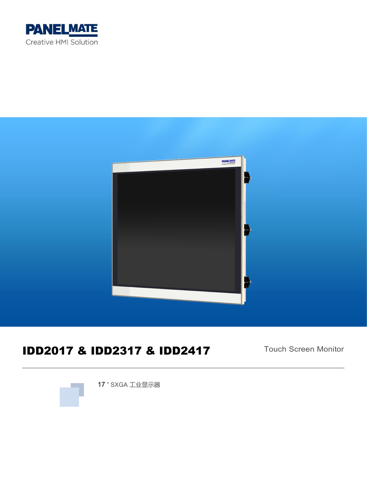



# IDD2017 & IDD2317 & IDD2417

Touch Screen Monitor



17 " SXGA 工业显示器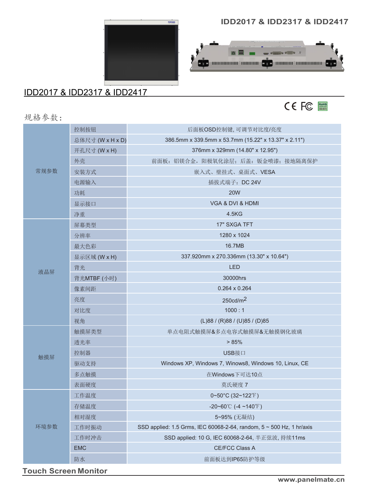#### **IDD2017 & IDD2317 & IDD2417**

 $\frac{1}{\sqrt{2\pi}\sin^2\theta}\frac{\sqrt{2\pi}}{\sqrt{2\pi}}\frac{1}{\sqrt{2\pi}}\frac{1}{\sqrt{2\pi}}\frac{1}{\sqrt{2\pi}}\frac{1}{\sqrt{2\pi}}\frac{1}{\sqrt{2\pi}}\frac{1}{\sqrt{2\pi}}\frac{1}{\sqrt{2\pi}}\frac{1}{\sqrt{2\pi}}\frac{1}{\sqrt{2\pi}}\frac{1}{\sqrt{2\pi}}\frac{1}{\sqrt{2\pi}}\frac{1}{\sqrt{2\pi}}\frac{1}{\sqrt{2\pi}}\frac{1}{\sqrt{2\pi}}\frac{1}{\sqrt{2\pi}}\frac{1}{\sqrt$ 

OC manamana amama OC manama amamana OC

**DE M** 



### IDD2017 & IDD2317 & IDD2417

CE FC

|  | 规格参数: |  |  |  |
|--|-------|--|--|--|
|--|-------|--|--|--|

|      | 控制按钮             | 后面板OSD控制键,可调节对比度/亮度                                                  |
|------|------------------|----------------------------------------------------------------------|
|      | 总体尺寸 (W x H x D) | 386.5mm x 339.5mm x 53.7mm (15.22" x 13.37" x 2.11")                 |
|      | 开孔尺寸 (W x H)     | 376mm x 329mm (14.80" x 12.95")                                      |
|      | 外壳               | 前面板: 铝镁合金, 阳极氧化涂层; 后盖: 钣金喷漆; 接地隔离保护                                  |
| 常规参数 | 安装方式             | 嵌入式、壁挂式、桌面式、VESA                                                     |
|      | 电源输入             | 插拔式端子: DC 24V                                                        |
|      | 功耗               | <b>20W</b>                                                           |
|      | 显示接口             | VGA & DVI & HDMI                                                     |
|      | 净重               | 4.5KG                                                                |
|      | 屏幕类型             | 17" SXGA TFT                                                         |
|      | 分辨率              | 1280 x 1024                                                          |
|      | 最大色彩             | 16.7MB                                                               |
|      | 显示区域 (W x H)     | 337.920mm x 270.336mm (13.30" x 10.64")                              |
| 液晶屏  | 背光               | <b>LED</b>                                                           |
|      | 背光MTBF (小时)      | 30000hrs                                                             |
|      | 像素间距             | 0.264 x 0.264                                                        |
|      | 亮度               | 250cd/m <sup>2</sup>                                                 |
|      | 对比度              | 1000:1                                                               |
|      | 视角               | (L)88 / (R)88 / (U)85 / (D)85                                        |
|      | 触摸屏类型            | 单点电阻式触摸屏&多点电容式触摸屏&无触摸钢化玻璃                                            |
|      | 透光率              | > 85%                                                                |
| 触摸屏  | 控制器              | USB接口                                                                |
|      | 驱动支持             | Windows XP, Windows 7, Winows8, Windows 10, Linux, CE                |
|      | 多点触摸             | 在Windows下可达10点                                                       |
|      | 表面硬度             | 莫氏硬度 7                                                               |
|      | 工作温度             | $0 \sim 50^{\circ}$ C (32~122°F)                                     |
|      | 存储温度             | -20~60°C (-4~140°F)                                                  |
|      | 相对湿度             | 5~95% (无凝结)                                                          |
| 环境参数 | 工作时振动            | SSD applied: 1.5 Grms, IEC 60068-2-64, random, 5 ~ 500 Hz, 1 hr/axis |
|      | 工作时冲击            | SSD applied: 10 G, IEC 60068-2-64, 半正弦波, 持续11ms                      |
|      | <b>EMC</b>       | <b>CE/FCC Class A</b>                                                |
|      | 防水               | 前面板达到IP65防护等级                                                        |
|      |                  |                                                                      |

**Touch Screen Monitor**